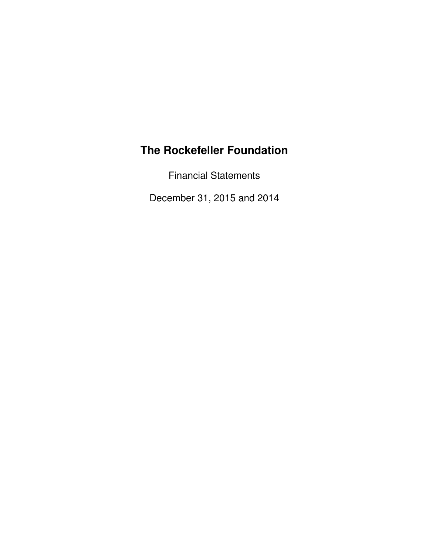Financial Statements

December 31, 2015 and 2014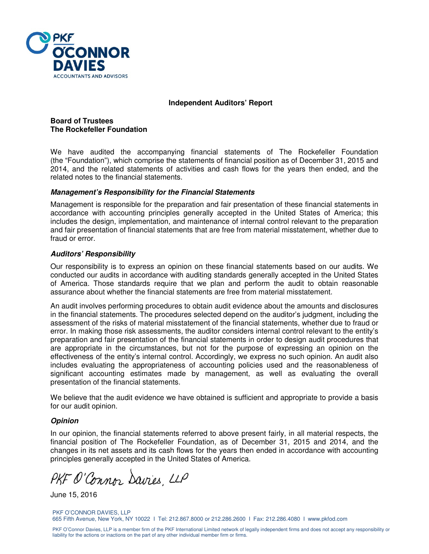

#### **Independent Auditors' Report**

#### **Board of Trustees The Rockefeller Foundation**

We have audited the accompanying financial statements of The Rockefeller Foundation (the "Foundation"), which comprise the statements of financial position as of December 31, 2015 and 2014, and the related statements of activities and cash flows for the years then ended, and the related notes to the financial statements.

#### **Management's Responsibility for the Financial Statements**

Management is responsible for the preparation and fair presentation of these financial statements in accordance with accounting principles generally accepted in the United States of America; this includes the design, implementation, and maintenance of internal control relevant to the preparation and fair presentation of financial statements that are free from material misstatement, whether due to fraud or error.

#### **Auditors' Responsibility**

Our responsibility is to express an opinion on these financial statements based on our audits. We conducted our audits in accordance with auditing standards generally accepted in the United States of America. Those standards require that we plan and perform the audit to obtain reasonable assurance about whether the financial statements are free from material misstatement.

An audit involves performing procedures to obtain audit evidence about the amounts and disclosures in the financial statements. The procedures selected depend on the auditor's judgment, including the assessment of the risks of material misstatement of the financial statements, whether due to fraud or error. In making those risk assessments, the auditor considers internal control relevant to the entity's preparation and fair presentation of the financial statements in order to design audit procedures that are appropriate in the circumstances, but not for the purpose of expressing an opinion on the effectiveness of the entity's internal control. Accordingly, we express no such opinion. An audit also includes evaluating the appropriateness of accounting policies used and the reasonableness of significant accounting estimates made by management, as well as evaluating the overall presentation of the financial statements.

We believe that the audit evidence we have obtained is sufficient and appropriate to provide a basis for our audit opinion.

#### **Opinion**

In our opinion, the financial statements referred to above present fairly, in all material respects, the financial position of The Rockefeller Foundation, as of December 31, 2015 and 2014, and the changes in its net assets and its cash flows for the years then ended in accordance with accounting principles generally accepted in the United States of America.

PKF O'Connor Davies, LLP

June 15, 2016

PKF O'CONNOR DAVIES, LLP 665 Fifth Avenue, New York, NY 10022 I Tel: 212.867.8000 or 212.286.2600 I Fax: 212.286.4080 I www.pkfod.com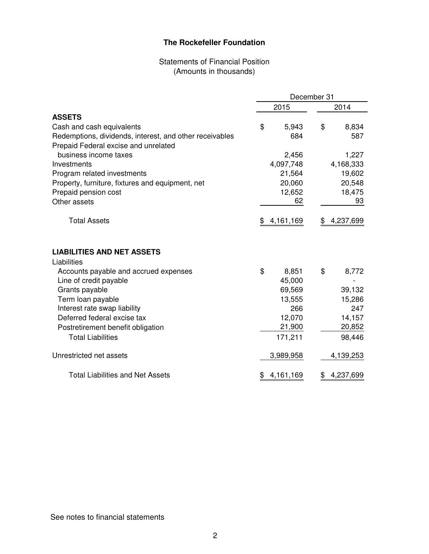# Statements of Financial Position (Amounts in thousands)

|                                                         | December 31 |           |    |           |  |
|---------------------------------------------------------|-------------|-----------|----|-----------|--|
|                                                         |             | 2015      |    | 2014      |  |
| <b>ASSETS</b>                                           |             |           |    |           |  |
| Cash and cash equivalents                               | \$          | 5,943     | \$ | 8,834     |  |
| Redemptions, dividends, interest, and other receivables |             | 684       |    | 587       |  |
| Prepaid Federal excise and unrelated                    |             |           |    |           |  |
| business income taxes                                   |             | 2,456     |    | 1,227     |  |
| Investments                                             |             | 4,097,748 |    | 4,168,333 |  |
| Program related investments                             |             | 21,564    |    | 19,602    |  |
| Property, furniture, fixtures and equipment, net        |             | 20,060    |    | 20,548    |  |
| Prepaid pension cost                                    |             | 12,652    |    | 18,475    |  |
| Other assets                                            |             | 62        |    | 93        |  |
| <b>Total Assets</b>                                     | \$          | 4,161,169 | \$ | 4,237,699 |  |
| <b>LIABILITIES AND NET ASSETS</b><br>Liabilities        |             |           |    |           |  |
| Accounts payable and accrued expenses                   | \$          | 8,851     | \$ | 8,772     |  |
| Line of credit payable                                  |             | 45,000    |    |           |  |
| Grants payable                                          |             | 69,569    |    | 39,132    |  |
| Term loan payable                                       |             | 13,555    |    | 15,286    |  |
| Interest rate swap liability                            |             | 266       |    | 247       |  |
| Deferred federal excise tax                             |             | 12,070    |    | 14,157    |  |
| Postretirement benefit obligation                       |             | 21,900    |    | 20,852    |  |
| <b>Total Liabilities</b>                                |             | 171,211   |    | 98,446    |  |
| Unrestricted net assets                                 |             | 3,989,958 |    | 4,139,253 |  |
| <b>Total Liabilities and Net Assets</b>                 | \$          | 4,161,169 | \$ | 4,237,699 |  |

See notes to financial statements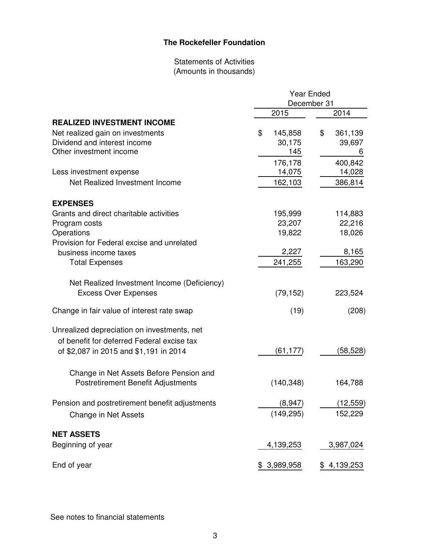# Statements of Activities (Amounts in thousands)

|                                                | Year Ended    |               |  |  |
|------------------------------------------------|---------------|---------------|--|--|
|                                                |               | December 31   |  |  |
|                                                | 2015          | 2014          |  |  |
| <b>REALIZED INVESTMENT INCOME</b>              |               |               |  |  |
| Net realized gain on investments               | \$<br>145,858 | \$<br>361,139 |  |  |
| Dividend and interest income                   | 30,175        | 39,697        |  |  |
| Other investment income                        | 145           | 6             |  |  |
|                                                | 176,178       | 400,842       |  |  |
| Less investment expense                        | 14,075        | 14,028        |  |  |
| Net Realized Investment Income                 | 162,103       | 386,814       |  |  |
| <b>EXPENSES</b>                                |               |               |  |  |
| Grants and direct charitable activities        | 195,999       | 114,883       |  |  |
| Program costs                                  | 23,207        | 22,216        |  |  |
| Operations                                     | 19,822        | 18,026        |  |  |
| Provision for Federal excise and unrelated     |               |               |  |  |
| business income taxes                          | 2,227         | 8,165         |  |  |
| <b>Total Expenses</b>                          | 241,255       | 163,290       |  |  |
| Net Realized Investment Income (Deficiency)    |               |               |  |  |
| <b>Excess Over Expenses</b>                    | (79, 152)     | 223,524       |  |  |
| Change in fair value of interest rate swap     | (19)          | (208)         |  |  |
| Unrealized depreciation on investments, net    |               |               |  |  |
| of benefit for deferred Federal excise tax     |               |               |  |  |
| of \$2,087 in 2015 and \$1,191 in 2014         | (61, 177)     | (58,528)      |  |  |
| Change in Net Assets Before Pension and        |               |               |  |  |
| <b>Postretirement Benefit Adjustments</b>      | (140, 348)    | 164,788       |  |  |
| Pension and postretirement benefit adjustments | (8,947)       | (12, 559)     |  |  |
| Change in Net Assets                           | (149, 295)    | 152,229       |  |  |
| <b>NET ASSETS</b>                              |               |               |  |  |
| Beginning of year                              | 4,139,253     | 3,987,024     |  |  |
| End of year                                    | \$3,989,958   | \$4,139,253   |  |  |

See notes to financial statements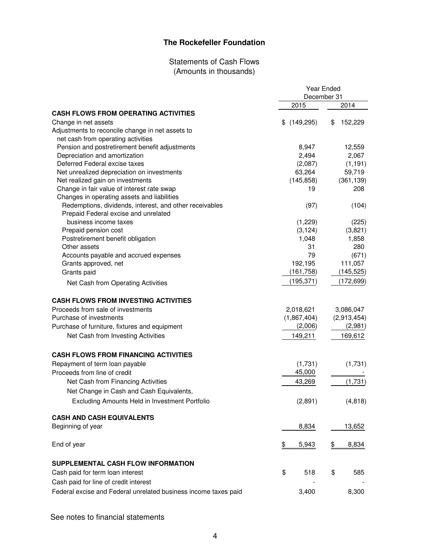# Statements of Cash Flows (Amounts in thousands)

| December 31                                                              |            |  |
|--------------------------------------------------------------------------|------------|--|
|                                                                          | 2014       |  |
| 2015<br><b>CASH FLOWS FROM OPERATING ACTIVITIES</b>                      |            |  |
|                                                                          |            |  |
| (149, 295)<br>Change in net assets<br>\$<br>\$                           | 152,229    |  |
| Adjustments to reconcile change in net assets to                         |            |  |
| net cash from operating activities                                       |            |  |
| Pension and postretirement benefit adjustments<br>8,947                  | 12,559     |  |
| Depreciation and amortization<br>2,494                                   | 2,067      |  |
| Deferred Federal excise taxes<br>(2,087)                                 | (1, 191)   |  |
| 63,264<br>Net unrealized depreciation on investments                     | 59,719     |  |
| Net realized gain on investments<br>(145, 858)                           | (361, 139) |  |
| Change in fair value of interest rate swap<br>19                         | 208        |  |
| Changes in operating assets and liabilities                              |            |  |
| Redemptions, dividends, interest, and other receivables<br>(97)          | (104)      |  |
| Prepaid Federal excise and unrelated                                     |            |  |
| business income taxes<br>(1,229)                                         | (225)      |  |
| Prepaid pension cost<br>(3, 124)                                         | (3,821)    |  |
| Postretirement benefit obligation<br>1,048                               | 1,858      |  |
| Other assets<br>31                                                       | 280        |  |
| 79<br>Accounts payable and accrued expenses                              | (671)      |  |
| Grants approved, net<br>192,195                                          | 111,057    |  |
| (161, 758)<br>Grants paid                                                | (145, 525) |  |
| (195, 371)<br>Net Cash from Operating Activities                         | (172, 699) |  |
| <b>CASH FLOWS FROM INVESTING ACTIVITIES</b>                              |            |  |
| Proceeds from sale of investments<br>2,018,621<br>3,086,047              |            |  |
| Purchase of investments<br>(1,867,404)<br>(2,913,454)                    |            |  |
| Purchase of furniture, fixtures and equipment<br>(2,006)                 | (2,981)    |  |
| Net Cash from Investing Activities<br>149,211                            | 169,612    |  |
|                                                                          |            |  |
| <b>CASH FLOWS FROM FINANCING ACTIVITIES</b>                              |            |  |
| Repayment of term loan payable<br>(1,731)                                | (1,731)    |  |
| 45,000<br>Proceeds from line of credit                                   |            |  |
| Net Cash from Financing Activities<br>43,269                             | (1,731)    |  |
| Net Change in Cash and Cash Equivalents,                                 |            |  |
| Excluding Amounts Held in Investment Portfolio<br>(2,891)                | (4, 818)   |  |
| <b>CASH AND CASH EQUIVALENTS</b>                                         |            |  |
| Beginning of year<br>8,834                                               | 13,652     |  |
|                                                                          |            |  |
| End of year<br>$\frac{1}{2}$<br>5,943<br>\$                              | 8,834      |  |
| SUPPLEMENTAL CASH FLOW INFORMATION                                       |            |  |
| \$<br>\$<br>Cash paid for term loan interest<br>518                      | 585        |  |
| Cash paid for line of credit interest                                    |            |  |
| Federal excise and Federal unrelated business income taxes paid<br>3,400 | 8,300      |  |

See notes to financial statements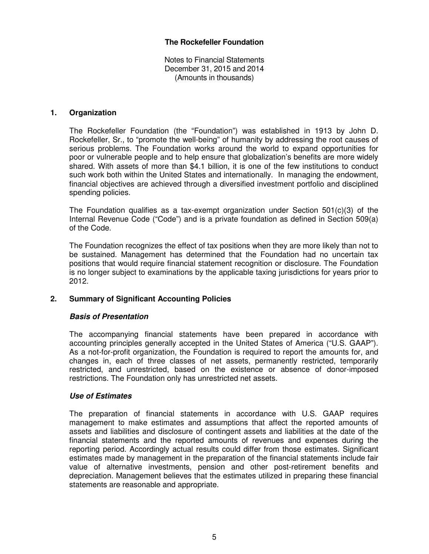Notes to Financial Statements December 31, 2015 and 2014 (Amounts in thousands)

#### **1. Organization**

The Rockefeller Foundation (the "Foundation") was established in 1913 by John D. Rockefeller, Sr., to "promote the well-being" of humanity by addressing the root causes of serious problems. The Foundation works around the world to expand opportunities for poor or vulnerable people and to help ensure that globalization's benefits are more widely shared. With assets of more than \$4.1 billion, it is one of the few institutions to conduct such work both within the United States and internationally. In managing the endowment, financial objectives are achieved through a diversified investment portfolio and disciplined spending policies.

The Foundation qualifies as a tax-exempt organization under Section 501(c)(3) of the Internal Revenue Code ("Code") and is a private foundation as defined in Section 509(a) of the Code.

 The Foundation recognizes the effect of tax positions when they are more likely than not to be sustained. Management has determined that the Foundation had no uncertain tax positions that would require financial statement recognition or disclosure. The Foundation is no longer subject to examinations by the applicable taxing jurisdictions for years prior to 2012.

## **2. Summary of Significant Accounting Policies**

## **Basis of Presentation**

The accompanying financial statements have been prepared in accordance with accounting principles generally accepted in the United States of America ("U.S. GAAP"). As a not-for-profit organization, the Foundation is required to report the amounts for, and changes in, each of three classes of net assets, permanently restricted, temporarily restricted, and unrestricted, based on the existence or absence of donor-imposed restrictions. The Foundation only has unrestricted net assets.

#### **Use of Estimates**

 The preparation of financial statements in accordance with U.S. GAAP requires management to make estimates and assumptions that affect the reported amounts of assets and liabilities and disclosure of contingent assets and liabilities at the date of the financial statements and the reported amounts of revenues and expenses during the reporting period. Accordingly actual results could differ from those estimates. Significant estimates made by management in the preparation of the financial statements include fair value of alternative investments, pension and other post-retirement benefits and depreciation. Management believes that the estimates utilized in preparing these financial statements are reasonable and appropriate.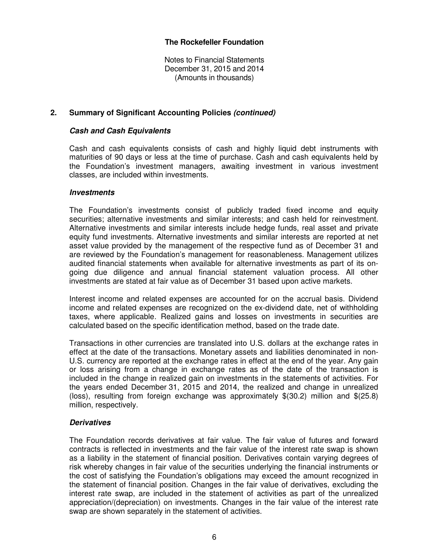Notes to Financial Statements December 31, 2015 and 2014 (Amounts in thousands)

## **2. Summary of Significant Accounting Policies (continued)**

## **Cash and Cash Equivalents**

Cash and cash equivalents consists of cash and highly liquid debt instruments with maturities of 90 days or less at the time of purchase. Cash and cash equivalents held by the Foundation's investment managers, awaiting investment in various investment classes, are included within investments.

## **Investments**

The Foundation's investments consist of publicly traded fixed income and equity securities; alternative investments and similar interests; and cash held for reinvestment. Alternative investments and similar interests include hedge funds, real asset and private equity fund investments. Alternative investments and similar interests are reported at net asset value provided by the management of the respective fund as of December 31 and are reviewed by the Foundation's management for reasonableness. Management utilizes audited financial statements when available for alternative investments as part of its ongoing due diligence and annual financial statement valuation process. All other investments are stated at fair value as of December 31 based upon active markets.

Interest income and related expenses are accounted for on the accrual basis. Dividend income and related expenses are recognized on the ex-dividend date, net of withholding taxes, where applicable. Realized gains and losses on investments in securities are calculated based on the specific identification method, based on the trade date.

Transactions in other currencies are translated into U.S. dollars at the exchange rates in effect at the date of the transactions. Monetary assets and liabilities denominated in non-U.S. currency are reported at the exchange rates in effect at the end of the year. Any gain or loss arising from a change in exchange rates as of the date of the transaction is included in the change in realized gain on investments in the statements of activities. For the years ended December 31, 2015 and 2014, the realized and change in unrealized (loss), resulting from foreign exchange was approximately \$(30.2) million and \$(25.8) million, respectively.

## **Derivatives**

The Foundation records derivatives at fair value. The fair value of futures and forward contracts is reflected in investments and the fair value of the interest rate swap is shown as a liability in the statement of financial position. Derivatives contain varying degrees of risk whereby changes in fair value of the securities underlying the financial instruments or the cost of satisfying the Foundation's obligations may exceed the amount recognized in the statement of financial position. Changes in the fair value of derivatives, excluding the interest rate swap, are included in the statement of activities as part of the unrealized appreciation/(depreciation) on investments. Changes in the fair value of the interest rate swap are shown separately in the statement of activities.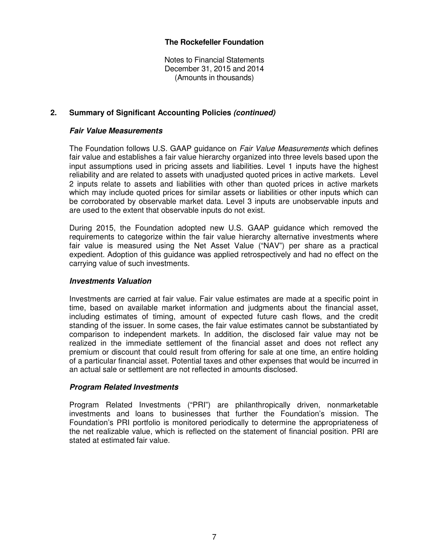Notes to Financial Statements December 31, 2015 and 2014 (Amounts in thousands)

## **2. Summary of Significant Accounting Policies (continued)**

## **Fair Value Measurements**

The Foundation follows U.S. GAAP guidance on Fair Value Measurements which defines fair value and establishes a fair value hierarchy organized into three levels based upon the input assumptions used in pricing assets and liabilities. Level 1 inputs have the highest reliability and are related to assets with unadjusted quoted prices in active markets. Level 2 inputs relate to assets and liabilities with other than quoted prices in active markets which may include quoted prices for similar assets or liabilities or other inputs which can be corroborated by observable market data. Level 3 inputs are unobservable inputs and are used to the extent that observable inputs do not exist.

During 2015, the Foundation adopted new U.S. GAAP guidance which removed the requirements to categorize within the fair value hierarchy alternative investments where fair value is measured using the Net Asset Value ("NAV") per share as a practical expedient. Adoption of this guidance was applied retrospectively and had no effect on the carrying value of such investments.

## **Investments Valuation**

Investments are carried at fair value. Fair value estimates are made at a specific point in time, based on available market information and judgments about the financial asset, including estimates of timing, amount of expected future cash flows, and the credit standing of the issuer. In some cases, the fair value estimates cannot be substantiated by comparison to independent markets. In addition, the disclosed fair value may not be realized in the immediate settlement of the financial asset and does not reflect any premium or discount that could result from offering for sale at one time, an entire holding of a particular financial asset. Potential taxes and other expenses that would be incurred in an actual sale or settlement are not reflected in amounts disclosed.

#### **Program Related Investments**

Program Related Investments ("PRI") are philanthropically driven, nonmarketable investments and loans to businesses that further the Foundation's mission. The Foundation's PRI portfolio is monitored periodically to determine the appropriateness of the net realizable value, which is reflected on the statement of financial position. PRI are stated at estimated fair value.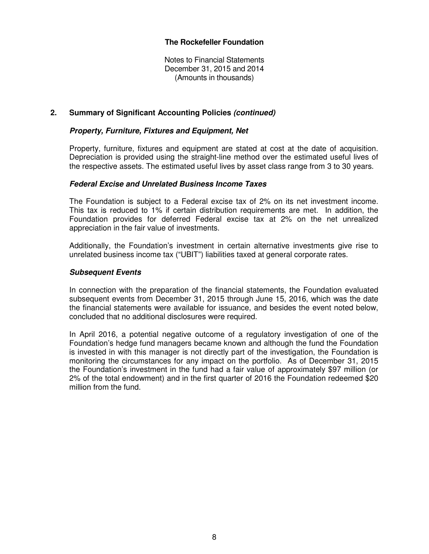Notes to Financial Statements December 31, 2015 and 2014 (Amounts in thousands)

## **2. Summary of Significant Accounting Policies (continued)**

## **Property, Furniture, Fixtures and Equipment, Net**

Property, furniture, fixtures and equipment are stated at cost at the date of acquisition. Depreciation is provided using the straight-line method over the estimated useful lives of the respective assets. The estimated useful lives by asset class range from 3 to 30 years.

#### **Federal Excise and Unrelated Business Income Taxes**

The Foundation is subject to a Federal excise tax of 2% on its net investment income. This tax is reduced to 1% if certain distribution requirements are met. In addition, the Foundation provides for deferred Federal excise tax at 2% on the net unrealized appreciation in the fair value of investments.

Additionally, the Foundation's investment in certain alternative investments give rise to unrelated business income tax ("UBIT") liabilities taxed at general corporate rates.

#### **Subsequent Events**

In connection with the preparation of the financial statements, the Foundation evaluated subsequent events from December 31, 2015 through June 15, 2016, which was the date the financial statements were available for issuance, and besides the event noted below, concluded that no additional disclosures were required.

 In April 2016, a potential negative outcome of a regulatory investigation of one of the Foundation's hedge fund managers became known and although the fund the Foundation is invested in with this manager is not directly part of the investigation, the Foundation is monitoring the circumstances for any impact on the portfolio. As of December 31, 2015 the Foundation's investment in the fund had a fair value of approximately \$97 million (or 2% of the total endowment) and in the first quarter of 2016 the Foundation redeemed \$20 million from the fund.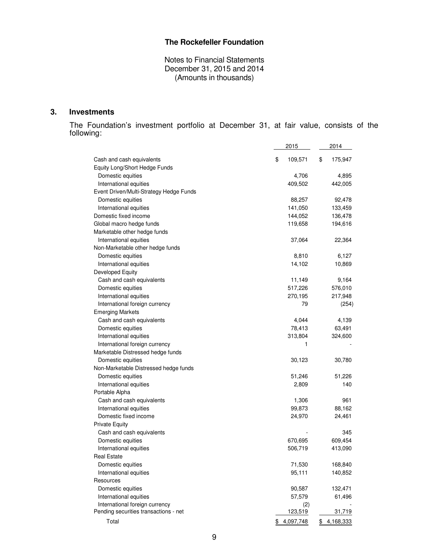Notes to Financial Statements December 31, 2015 and 2014 (Amounts in thousands)

## **3. Investments**

The Foundation's investment portfolio at December 31, at fair value, consists of the following:

| \$<br>\$<br>Cash and cash equivalents<br>109,571<br>175,947<br>Equity Long/Short Hedge Funds<br>Domestic equities<br>4,706<br>4,895<br>409,502<br>442,005<br>International equities<br>Event Driven/Multi-Strategy Hedge Funds<br>Domestic equities<br>88,257<br>92,478<br>141,050<br>133,459<br>International equities<br>Domestic fixed income<br>144,052<br>136,478<br>Global macro hedge funds<br>194,616<br>119,658<br>Marketable other hedge funds<br>International equities<br>37,064<br>22,364<br>Non-Marketable other hedge funds<br>Domestic equities<br>8,810<br>6,127<br>International equities<br>14,102<br>10,869<br>Developed Equity<br>Cash and cash equivalents<br>11,149<br>9,164<br>Domestic equities<br>517,226<br>576,010<br>International equities<br>270,195<br>217,948<br>International foreign currency<br>79<br>(254)<br><b>Emerging Markets</b><br>4,044<br>Cash and cash equivalents<br>4,139<br>Domestic equities<br>78,413<br>63,491<br>International equities<br>324,600<br>313,804<br>International foreign currency<br>1<br>Marketable Distressed hedge funds<br>Domestic equities<br>30,123<br>30,780<br>Non-Marketable Distressed hedge funds<br>51,246<br>Domestic equities<br>51,226<br>International equities<br>140<br>2,809<br>Portable Alpha<br>Cash and cash equivalents<br>1,306<br>961<br>International equities<br>99,873<br>88,162<br>Domestic fixed income<br>24,970<br>24,461<br><b>Private Equity</b><br>Cash and cash equivalents<br>345<br>609,454<br>Domestic equities<br>670,695<br>International equities<br>506,719<br>413,090<br><b>Real Estate</b><br>Domestic equities<br>71,530<br>168,840<br>95,111<br>International equities<br>140,852<br>Resources<br>Domestic equities<br>132,471<br>90,587<br>International equities<br>57,579<br>61,496<br>International foreign currency<br>(2)<br>Pending securities transactions - net<br>123,519<br>31,719<br>Total<br>\$4,097,748<br>\$4,168,333 | 2015 | 2014 |
|---------------------------------------------------------------------------------------------------------------------------------------------------------------------------------------------------------------------------------------------------------------------------------------------------------------------------------------------------------------------------------------------------------------------------------------------------------------------------------------------------------------------------------------------------------------------------------------------------------------------------------------------------------------------------------------------------------------------------------------------------------------------------------------------------------------------------------------------------------------------------------------------------------------------------------------------------------------------------------------------------------------------------------------------------------------------------------------------------------------------------------------------------------------------------------------------------------------------------------------------------------------------------------------------------------------------------------------------------------------------------------------------------------------------------------------------------------------------------------------------------------------------------------------------------------------------------------------------------------------------------------------------------------------------------------------------------------------------------------------------------------------------------------------------------------------------------------------------------------------------------------------------------------------------------------------------------------|------|------|
|                                                                                                                                                                                                                                                                                                                                                                                                                                                                                                                                                                                                                                                                                                                                                                                                                                                                                                                                                                                                                                                                                                                                                                                                                                                                                                                                                                                                                                                                                                                                                                                                                                                                                                                                                                                                                                                                                                                                                         |      |      |
|                                                                                                                                                                                                                                                                                                                                                                                                                                                                                                                                                                                                                                                                                                                                                                                                                                                                                                                                                                                                                                                                                                                                                                                                                                                                                                                                                                                                                                                                                                                                                                                                                                                                                                                                                                                                                                                                                                                                                         |      |      |
|                                                                                                                                                                                                                                                                                                                                                                                                                                                                                                                                                                                                                                                                                                                                                                                                                                                                                                                                                                                                                                                                                                                                                                                                                                                                                                                                                                                                                                                                                                                                                                                                                                                                                                                                                                                                                                                                                                                                                         |      |      |
|                                                                                                                                                                                                                                                                                                                                                                                                                                                                                                                                                                                                                                                                                                                                                                                                                                                                                                                                                                                                                                                                                                                                                                                                                                                                                                                                                                                                                                                                                                                                                                                                                                                                                                                                                                                                                                                                                                                                                         |      |      |
|                                                                                                                                                                                                                                                                                                                                                                                                                                                                                                                                                                                                                                                                                                                                                                                                                                                                                                                                                                                                                                                                                                                                                                                                                                                                                                                                                                                                                                                                                                                                                                                                                                                                                                                                                                                                                                                                                                                                                         |      |      |
|                                                                                                                                                                                                                                                                                                                                                                                                                                                                                                                                                                                                                                                                                                                                                                                                                                                                                                                                                                                                                                                                                                                                                                                                                                                                                                                                                                                                                                                                                                                                                                                                                                                                                                                                                                                                                                                                                                                                                         |      |      |
|                                                                                                                                                                                                                                                                                                                                                                                                                                                                                                                                                                                                                                                                                                                                                                                                                                                                                                                                                                                                                                                                                                                                                                                                                                                                                                                                                                                                                                                                                                                                                                                                                                                                                                                                                                                                                                                                                                                                                         |      |      |
|                                                                                                                                                                                                                                                                                                                                                                                                                                                                                                                                                                                                                                                                                                                                                                                                                                                                                                                                                                                                                                                                                                                                                                                                                                                                                                                                                                                                                                                                                                                                                                                                                                                                                                                                                                                                                                                                                                                                                         |      |      |
|                                                                                                                                                                                                                                                                                                                                                                                                                                                                                                                                                                                                                                                                                                                                                                                                                                                                                                                                                                                                                                                                                                                                                                                                                                                                                                                                                                                                                                                                                                                                                                                                                                                                                                                                                                                                                                                                                                                                                         |      |      |
|                                                                                                                                                                                                                                                                                                                                                                                                                                                                                                                                                                                                                                                                                                                                                                                                                                                                                                                                                                                                                                                                                                                                                                                                                                                                                                                                                                                                                                                                                                                                                                                                                                                                                                                                                                                                                                                                                                                                                         |      |      |
|                                                                                                                                                                                                                                                                                                                                                                                                                                                                                                                                                                                                                                                                                                                                                                                                                                                                                                                                                                                                                                                                                                                                                                                                                                                                                                                                                                                                                                                                                                                                                                                                                                                                                                                                                                                                                                                                                                                                                         |      |      |
|                                                                                                                                                                                                                                                                                                                                                                                                                                                                                                                                                                                                                                                                                                                                                                                                                                                                                                                                                                                                                                                                                                                                                                                                                                                                                                                                                                                                                                                                                                                                                                                                                                                                                                                                                                                                                                                                                                                                                         |      |      |
|                                                                                                                                                                                                                                                                                                                                                                                                                                                                                                                                                                                                                                                                                                                                                                                                                                                                                                                                                                                                                                                                                                                                                                                                                                                                                                                                                                                                                                                                                                                                                                                                                                                                                                                                                                                                                                                                                                                                                         |      |      |
|                                                                                                                                                                                                                                                                                                                                                                                                                                                                                                                                                                                                                                                                                                                                                                                                                                                                                                                                                                                                                                                                                                                                                                                                                                                                                                                                                                                                                                                                                                                                                                                                                                                                                                                                                                                                                                                                                                                                                         |      |      |
|                                                                                                                                                                                                                                                                                                                                                                                                                                                                                                                                                                                                                                                                                                                                                                                                                                                                                                                                                                                                                                                                                                                                                                                                                                                                                                                                                                                                                                                                                                                                                                                                                                                                                                                                                                                                                                                                                                                                                         |      |      |
|                                                                                                                                                                                                                                                                                                                                                                                                                                                                                                                                                                                                                                                                                                                                                                                                                                                                                                                                                                                                                                                                                                                                                                                                                                                                                                                                                                                                                                                                                                                                                                                                                                                                                                                                                                                                                                                                                                                                                         |      |      |
|                                                                                                                                                                                                                                                                                                                                                                                                                                                                                                                                                                                                                                                                                                                                                                                                                                                                                                                                                                                                                                                                                                                                                                                                                                                                                                                                                                                                                                                                                                                                                                                                                                                                                                                                                                                                                                                                                                                                                         |      |      |
|                                                                                                                                                                                                                                                                                                                                                                                                                                                                                                                                                                                                                                                                                                                                                                                                                                                                                                                                                                                                                                                                                                                                                                                                                                                                                                                                                                                                                                                                                                                                                                                                                                                                                                                                                                                                                                                                                                                                                         |      |      |
|                                                                                                                                                                                                                                                                                                                                                                                                                                                                                                                                                                                                                                                                                                                                                                                                                                                                                                                                                                                                                                                                                                                                                                                                                                                                                                                                                                                                                                                                                                                                                                                                                                                                                                                                                                                                                                                                                                                                                         |      |      |
|                                                                                                                                                                                                                                                                                                                                                                                                                                                                                                                                                                                                                                                                                                                                                                                                                                                                                                                                                                                                                                                                                                                                                                                                                                                                                                                                                                                                                                                                                                                                                                                                                                                                                                                                                                                                                                                                                                                                                         |      |      |
|                                                                                                                                                                                                                                                                                                                                                                                                                                                                                                                                                                                                                                                                                                                                                                                                                                                                                                                                                                                                                                                                                                                                                                                                                                                                                                                                                                                                                                                                                                                                                                                                                                                                                                                                                                                                                                                                                                                                                         |      |      |
|                                                                                                                                                                                                                                                                                                                                                                                                                                                                                                                                                                                                                                                                                                                                                                                                                                                                                                                                                                                                                                                                                                                                                                                                                                                                                                                                                                                                                                                                                                                                                                                                                                                                                                                                                                                                                                                                                                                                                         |      |      |
|                                                                                                                                                                                                                                                                                                                                                                                                                                                                                                                                                                                                                                                                                                                                                                                                                                                                                                                                                                                                                                                                                                                                                                                                                                                                                                                                                                                                                                                                                                                                                                                                                                                                                                                                                                                                                                                                                                                                                         |      |      |
|                                                                                                                                                                                                                                                                                                                                                                                                                                                                                                                                                                                                                                                                                                                                                                                                                                                                                                                                                                                                                                                                                                                                                                                                                                                                                                                                                                                                                                                                                                                                                                                                                                                                                                                                                                                                                                                                                                                                                         |      |      |
|                                                                                                                                                                                                                                                                                                                                                                                                                                                                                                                                                                                                                                                                                                                                                                                                                                                                                                                                                                                                                                                                                                                                                                                                                                                                                                                                                                                                                                                                                                                                                                                                                                                                                                                                                                                                                                                                                                                                                         |      |      |
|                                                                                                                                                                                                                                                                                                                                                                                                                                                                                                                                                                                                                                                                                                                                                                                                                                                                                                                                                                                                                                                                                                                                                                                                                                                                                                                                                                                                                                                                                                                                                                                                                                                                                                                                                                                                                                                                                                                                                         |      |      |
|                                                                                                                                                                                                                                                                                                                                                                                                                                                                                                                                                                                                                                                                                                                                                                                                                                                                                                                                                                                                                                                                                                                                                                                                                                                                                                                                                                                                                                                                                                                                                                                                                                                                                                                                                                                                                                                                                                                                                         |      |      |
|                                                                                                                                                                                                                                                                                                                                                                                                                                                                                                                                                                                                                                                                                                                                                                                                                                                                                                                                                                                                                                                                                                                                                                                                                                                                                                                                                                                                                                                                                                                                                                                                                                                                                                                                                                                                                                                                                                                                                         |      |      |
|                                                                                                                                                                                                                                                                                                                                                                                                                                                                                                                                                                                                                                                                                                                                                                                                                                                                                                                                                                                                                                                                                                                                                                                                                                                                                                                                                                                                                                                                                                                                                                                                                                                                                                                                                                                                                                                                                                                                                         |      |      |
|                                                                                                                                                                                                                                                                                                                                                                                                                                                                                                                                                                                                                                                                                                                                                                                                                                                                                                                                                                                                                                                                                                                                                                                                                                                                                                                                                                                                                                                                                                                                                                                                                                                                                                                                                                                                                                                                                                                                                         |      |      |
|                                                                                                                                                                                                                                                                                                                                                                                                                                                                                                                                                                                                                                                                                                                                                                                                                                                                                                                                                                                                                                                                                                                                                                                                                                                                                                                                                                                                                                                                                                                                                                                                                                                                                                                                                                                                                                                                                                                                                         |      |      |
|                                                                                                                                                                                                                                                                                                                                                                                                                                                                                                                                                                                                                                                                                                                                                                                                                                                                                                                                                                                                                                                                                                                                                                                                                                                                                                                                                                                                                                                                                                                                                                                                                                                                                                                                                                                                                                                                                                                                                         |      |      |
|                                                                                                                                                                                                                                                                                                                                                                                                                                                                                                                                                                                                                                                                                                                                                                                                                                                                                                                                                                                                                                                                                                                                                                                                                                                                                                                                                                                                                                                                                                                                                                                                                                                                                                                                                                                                                                                                                                                                                         |      |      |
|                                                                                                                                                                                                                                                                                                                                                                                                                                                                                                                                                                                                                                                                                                                                                                                                                                                                                                                                                                                                                                                                                                                                                                                                                                                                                                                                                                                                                                                                                                                                                                                                                                                                                                                                                                                                                                                                                                                                                         |      |      |
|                                                                                                                                                                                                                                                                                                                                                                                                                                                                                                                                                                                                                                                                                                                                                                                                                                                                                                                                                                                                                                                                                                                                                                                                                                                                                                                                                                                                                                                                                                                                                                                                                                                                                                                                                                                                                                                                                                                                                         |      |      |
|                                                                                                                                                                                                                                                                                                                                                                                                                                                                                                                                                                                                                                                                                                                                                                                                                                                                                                                                                                                                                                                                                                                                                                                                                                                                                                                                                                                                                                                                                                                                                                                                                                                                                                                                                                                                                                                                                                                                                         |      |      |
|                                                                                                                                                                                                                                                                                                                                                                                                                                                                                                                                                                                                                                                                                                                                                                                                                                                                                                                                                                                                                                                                                                                                                                                                                                                                                                                                                                                                                                                                                                                                                                                                                                                                                                                                                                                                                                                                                                                                                         |      |      |
|                                                                                                                                                                                                                                                                                                                                                                                                                                                                                                                                                                                                                                                                                                                                                                                                                                                                                                                                                                                                                                                                                                                                                                                                                                                                                                                                                                                                                                                                                                                                                                                                                                                                                                                                                                                                                                                                                                                                                         |      |      |
|                                                                                                                                                                                                                                                                                                                                                                                                                                                                                                                                                                                                                                                                                                                                                                                                                                                                                                                                                                                                                                                                                                                                                                                                                                                                                                                                                                                                                                                                                                                                                                                                                                                                                                                                                                                                                                                                                                                                                         |      |      |
|                                                                                                                                                                                                                                                                                                                                                                                                                                                                                                                                                                                                                                                                                                                                                                                                                                                                                                                                                                                                                                                                                                                                                                                                                                                                                                                                                                                                                                                                                                                                                                                                                                                                                                                                                                                                                                                                                                                                                         |      |      |
|                                                                                                                                                                                                                                                                                                                                                                                                                                                                                                                                                                                                                                                                                                                                                                                                                                                                                                                                                                                                                                                                                                                                                                                                                                                                                                                                                                                                                                                                                                                                                                                                                                                                                                                                                                                                                                                                                                                                                         |      |      |
|                                                                                                                                                                                                                                                                                                                                                                                                                                                                                                                                                                                                                                                                                                                                                                                                                                                                                                                                                                                                                                                                                                                                                                                                                                                                                                                                                                                                                                                                                                                                                                                                                                                                                                                                                                                                                                                                                                                                                         |      |      |
|                                                                                                                                                                                                                                                                                                                                                                                                                                                                                                                                                                                                                                                                                                                                                                                                                                                                                                                                                                                                                                                                                                                                                                                                                                                                                                                                                                                                                                                                                                                                                                                                                                                                                                                                                                                                                                                                                                                                                         |      |      |
|                                                                                                                                                                                                                                                                                                                                                                                                                                                                                                                                                                                                                                                                                                                                                                                                                                                                                                                                                                                                                                                                                                                                                                                                                                                                                                                                                                                                                                                                                                                                                                                                                                                                                                                                                                                                                                                                                                                                                         |      |      |
|                                                                                                                                                                                                                                                                                                                                                                                                                                                                                                                                                                                                                                                                                                                                                                                                                                                                                                                                                                                                                                                                                                                                                                                                                                                                                                                                                                                                                                                                                                                                                                                                                                                                                                                                                                                                                                                                                                                                                         |      |      |
|                                                                                                                                                                                                                                                                                                                                                                                                                                                                                                                                                                                                                                                                                                                                                                                                                                                                                                                                                                                                                                                                                                                                                                                                                                                                                                                                                                                                                                                                                                                                                                                                                                                                                                                                                                                                                                                                                                                                                         |      |      |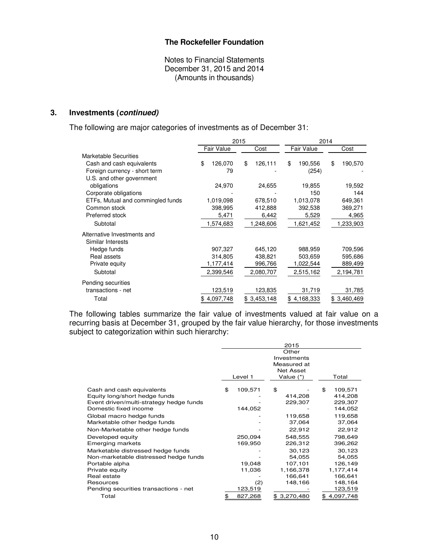Notes to Financial Statements December 31, 2015 and 2014 (Amounts in thousands)

## **3. Investments (continued)**

The following are major categories of investments as of December 31:

|                                   |                   | 2015          | 2014          |               |  |  |
|-----------------------------------|-------------------|---------------|---------------|---------------|--|--|
|                                   | <b>Fair Value</b> | Cost          | Fair Value    | Cost          |  |  |
| <b>Marketable Securities</b>      |                   |               |               |               |  |  |
| Cash and cash equivalents         | \$<br>126,070     | \$<br>126,111 | \$<br>190,556 | \$<br>190,570 |  |  |
| Foreign currency - short term     | 79                |               | (254)         |               |  |  |
| U.S. and other government         |                   |               |               |               |  |  |
| obligations                       | 24,970            | 24,655        | 19,855        | 19,592        |  |  |
| Corporate obligations             |                   |               | 150           | 144           |  |  |
| ETFs, Mutual and commingled funds | 1,019,098         | 678,510       | 1,013,078     | 649,361       |  |  |
| Common stock                      | 398,995           | 412,888       | 392,538       | 369,271       |  |  |
| Preferred stock                   | 5,471             | 6,442         | 5,529         | 4,965         |  |  |
| Subtotal                          | 1,574,683         | 1,248,606     | 1,621,452     | 1,233,903     |  |  |
| Alternative Investments and       |                   |               |               |               |  |  |
| Similar Interests                 |                   |               |               |               |  |  |
| Hedge funds                       | 907,327           | 645,120       | 988,959       | 709,596       |  |  |
| Real assets                       | 314,805           | 438,821       | 503,659       | 595,686       |  |  |
| Private equity                    | 1,177,414         | 996,766       | 1,022,544     | 889,499       |  |  |
| Subtotal                          | 2,399,546         | 2,080,707     | 2,515,162     | 2,194,781     |  |  |
| Pending securities                |                   |               |               |               |  |  |
| transactions - net                | 123,519           | 123,835       | 31,719        | 31,785        |  |  |
| Total                             | \$4,097,748       | \$3,453,148   | \$4,168,333   | \$3,460,469   |  |  |

The following tables summarize the fair value of investments valued at fair value on a recurring basis at December 31, grouped by the fair value hierarchy, for those investments subject to categorization within such hierarchy:

|                                                                                                                                | 2015 |                    |                                                  |    |                                          |  |
|--------------------------------------------------------------------------------------------------------------------------------|------|--------------------|--------------------------------------------------|----|------------------------------------------|--|
|                                                                                                                                |      |                    | Other<br>Investments<br>Measured at<br>Net Asset |    |                                          |  |
|                                                                                                                                |      | Level 1            | Value (*)                                        |    | Total                                    |  |
| Cash and cash equivalents<br>Equity long/short hedge funds<br>Event driven/multi-strategy hedge funds<br>Domestic fixed income | \$   | 109,571<br>144,052 | \$<br>414,208<br>229,307                         | \$ | 109,571<br>414,208<br>229,307<br>144,052 |  |
| Global macro hedge funds<br>Marketable other hedge funds                                                                       |      |                    | 119,658<br>37,064                                |    | 119,658<br>37,064                        |  |
| Non-Marketable other hedge funds                                                                                               |      |                    | 22,912                                           |    | 22,912                                   |  |
| Developed equity<br><b>Emerging markets</b>                                                                                    |      | 250,094<br>169,950 | 548.555<br>226,312                               |    | 798,649<br>396,262                       |  |
| Marketable distressed hedge funds<br>Non-marketable distressed hedge funds                                                     |      |                    | 30,123<br>54,055                                 |    | 30,123<br>54,055                         |  |
| Portable alpha<br>Private equity                                                                                               |      | 19,048<br>11,036   | 107,101<br>1,166,378                             |    | 126,149<br>1,177,414                     |  |
| Real estate                                                                                                                    |      |                    | 166,641                                          |    | 166,641                                  |  |
| Resources                                                                                                                      |      | (2)                | 148,166                                          |    | 148,164                                  |  |
| Pending securities transactions - net                                                                                          |      | 123,519            |                                                  |    | 123,519                                  |  |
| Total                                                                                                                          | \$   | 827,268            | 3,270,480<br>\$                                  | \$ | 4,097,748                                |  |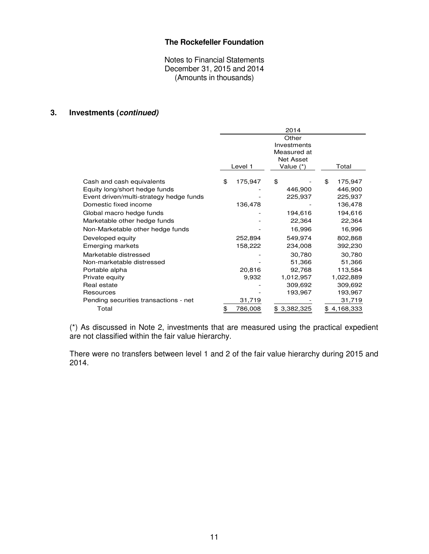Notes to Financial Statements December 31, 2015 and 2014 (Amounts in thousands)

# **3. Investments (continued)**

|                                         | 2014  |         |             |                  |    |             |  |
|-----------------------------------------|-------|---------|-------------|------------------|----|-------------|--|
|                                         | Other |         |             |                  |    |             |  |
|                                         |       |         |             | Investments      |    |             |  |
|                                         |       |         |             | Measured at      |    |             |  |
|                                         |       |         |             | <b>Net Asset</b> |    |             |  |
|                                         |       | Level 1 | Value $(*)$ |                  |    | Total       |  |
| Cash and cash equivalents               | \$    | 175,947 | \$          |                  | \$ | 175,947     |  |
| Equity long/short hedge funds           |       |         |             | 446,900          |    | 446,900     |  |
| Event driven/multi-strategy hedge funds |       |         |             | 225,937          |    | 225,937     |  |
| Domestic fixed income                   |       | 136,478 |             |                  |    | 136,478     |  |
|                                         |       |         |             |                  |    |             |  |
| Global macro hedge funds                |       |         |             | 194,616          |    | 194,616     |  |
| Marketable other hedge funds            |       |         |             | 22,364           |    | 22,364      |  |
| Non-Marketable other hedge funds        |       |         |             | 16,996           |    | 16,996      |  |
| Developed equity                        |       | 252,894 |             | 549,974          |    | 802,868     |  |
| Emerging markets                        |       | 158,222 |             | 234,008          |    | 392,230     |  |
| Marketable distressed                   |       |         |             | 30,780           |    | 30,780      |  |
| Non-marketable distressed               |       |         |             | 51,366           |    | 51,366      |  |
| Portable alpha                          |       | 20,816  |             | 92,768           |    | 113,584     |  |
| Private equity                          |       | 9,932   |             | 1,012,957        |    | 1,022,889   |  |
| Real estate                             |       |         |             | 309,692          |    | 309,692     |  |
| Resources                               |       |         |             | 193,967          |    | 193,967     |  |
| Pending securities transactions - net   |       | 31,719  |             |                  |    | 31,719      |  |
| Total                                   | \$    | 786,008 |             | \$3,382,325      |    | \$4,168,333 |  |

(\*) As discussed in Note 2, investments that are measured using the practical expedient are not classified within the fair value hierarchy.

There were no transfers between level 1 and 2 of the fair value hierarchy during 2015 and 2014.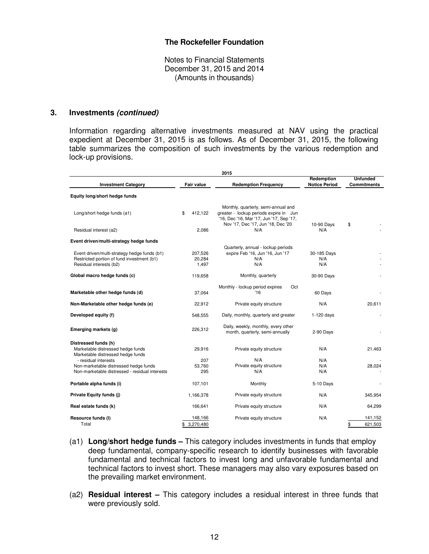Notes to Financial Statements December 31, 2015 and 2014 (Amounts in thousands)

#### **3. Investments (continued)**

Information regarding alternative investments measured at NAV using the practical expedient at December 31, 2015 is as follows. As of December 31, 2015, the following table summarizes the composition of such investments by the various redemption and lock-up provisions.

|                                                                                                                       | 2015                       |                                                                                                                                                                 |                                    |                                       |  |  |  |  |  |  |
|-----------------------------------------------------------------------------------------------------------------------|----------------------------|-----------------------------------------------------------------------------------------------------------------------------------------------------------------|------------------------------------|---------------------------------------|--|--|--|--|--|--|
| <b>Investment Category</b>                                                                                            | Fair value                 | <b>Redemption Frequency</b>                                                                                                                                     | Redemption<br><b>Notice Period</b> | <b>Unfunded</b><br><b>Commitments</b> |  |  |  |  |  |  |
| Equity long/short hedge funds                                                                                         |                            |                                                                                                                                                                 |                                    |                                       |  |  |  |  |  |  |
| Long/short hedge funds (a1)                                                                                           | 412.122<br>\$              | Monthly, quarterly, semi-annual and<br>greater - lockup periods expire in Jun<br>'16, Dec '16, Mar '17, Jun '17, Sep '17,<br>Nov '17, Dec '17, Jun '18, Dec '20 | 10-90 Days                         | \$                                    |  |  |  |  |  |  |
| Residual interest (a2)                                                                                                | 2,086                      | N/A                                                                                                                                                             | N/A                                |                                       |  |  |  |  |  |  |
| Event driven/multi-strategy hedge funds                                                                               |                            |                                                                                                                                                                 |                                    |                                       |  |  |  |  |  |  |
| Event driven/multi-strategy hedge funds (b1)<br>Restricted portion of fund investment (b1)<br>Residual interests (b2) | 207,526<br>20,284<br>1,497 | Quarterly, annual - lockup periods<br>expire Feb '16, Jun '16, Jun '17<br>N/A<br>N/A                                                                            | 30-185 Days<br>N/A<br>N/A          |                                       |  |  |  |  |  |  |
| Global macro hedge funds (c)                                                                                          | 119,658                    | Monthly, quarterly                                                                                                                                              | 30-90 Days                         |                                       |  |  |  |  |  |  |
| Marketable other hedge funds (d)                                                                                      | 37,064                     | Monthly - lockup period expires<br>Oct<br>'16                                                                                                                   | 60 Days                            |                                       |  |  |  |  |  |  |
|                                                                                                                       |                            |                                                                                                                                                                 |                                    |                                       |  |  |  |  |  |  |
| Non-Marketable other hedge funds (e)                                                                                  | 22,912                     | Private equity structure                                                                                                                                        | N/A                                | 20,611                                |  |  |  |  |  |  |
| Developed equity (f)                                                                                                  | 548,555                    | Daily, monthly, quarterly and greater                                                                                                                           | 1-120 days                         |                                       |  |  |  |  |  |  |
| Emerging markets (g)                                                                                                  | 226,312                    | Daily, weekly, monthly, every other<br>month, quarterly, semi-annually                                                                                          | 2-90 Days                          |                                       |  |  |  |  |  |  |
| Distressed funds (h)<br>Marketable distressed hedge funds<br>Marketable distressed hedge funds                        | 29,916                     | Private equity structure                                                                                                                                        | N/A                                | 21,463                                |  |  |  |  |  |  |
| - residual interests<br>Non-marketable distressed hedge funds<br>Non-marketable distressed - residual interests       | 207<br>53.760<br>295       | N/A<br>Private equity structure<br>N/A                                                                                                                          | N/A<br>N/A<br>N/A                  | 28,024                                |  |  |  |  |  |  |
| Portable alpha funds (i)                                                                                              | 107,101                    | Monthly                                                                                                                                                         | 5-10 Days                          |                                       |  |  |  |  |  |  |
| Private Equity funds (j)                                                                                              | 1,166,378                  | Private equity structure                                                                                                                                        | N/A                                | 345,954                               |  |  |  |  |  |  |
| Real estate funds (k)                                                                                                 | 166,641                    | Private equity structure                                                                                                                                        | N/A                                | 64,299                                |  |  |  |  |  |  |
| Resource funds (I)<br>Total                                                                                           | 148,166<br>\$3,270,480     | Private equity structure                                                                                                                                        | N/A                                | 141,152<br>\$<br>621,503              |  |  |  |  |  |  |

- (a1) **Long/short hedge funds –** This category includes investments in funds that employ deep fundamental, company-specific research to identify businesses with favorable fundamental and technical factors to invest long and unfavorable fundamental and technical factors to invest short. These managers may also vary exposures based on the prevailing market environment.
- (a2) **Residual interest** This category includes a residual interest in three funds that were previously sold.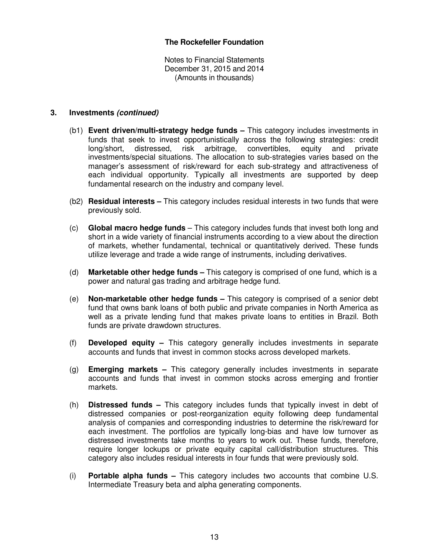Notes to Financial Statements December 31, 2015 and 2014 (Amounts in thousands)

#### **3. Investments (continued)**

- (b1) **Event driven/multi-strategy hedge funds –** This category includes investments in funds that seek to invest opportunistically across the following strategies: credit long/short, distressed, risk arbitrage, convertibles, equity and private long/short, distressed, risk arbitrage, convertibles, equity and investments/special situations. The allocation to sub-strategies varies based on the manager's assessment of risk/reward for each sub-strategy and attractiveness of each individual opportunity. Typically all investments are supported by deep fundamental research on the industry and company level.
- (b2) **Residual interests** This category includes residual interests in two funds that were previously sold.
- (c) **Global macro hedge funds**  This category includes funds that invest both long and short in a wide variety of financial instruments according to a view about the direction of markets, whether fundamental, technical or quantitatively derived. These funds utilize leverage and trade a wide range of instruments, including derivatives.
- (d) **Marketable other hedge funds –** This category is comprised of one fund, which is a power and natural gas trading and arbitrage hedge fund.
- (e) **Non-marketable other hedge funds –** This category is comprised of a senior debt fund that owns bank loans of both public and private companies in North America as well as a private lending fund that makes private loans to entities in Brazil. Both funds are private drawdown structures.
- (f) **Developed equity –** This category generally includes investments in separate accounts and funds that invest in common stocks across developed markets.
- (g) **Emerging markets –** This category generally includes investments in separate accounts and funds that invest in common stocks across emerging and frontier markets.
- (h) **Distressed funds –** This category includes funds that typically invest in debt of distressed companies or post-reorganization equity following deep fundamental analysis of companies and corresponding industries to determine the risk/reward for each investment. The portfolios are typically long-bias and have low turnover as distressed investments take months to years to work out. These funds, therefore, require longer lockups or private equity capital call/distribution structures. This category also includes residual interests in four funds that were previously sold.
- (i) **Portable alpha funds –** This category includes two accounts that combine U.S. Intermediate Treasury beta and alpha generating components.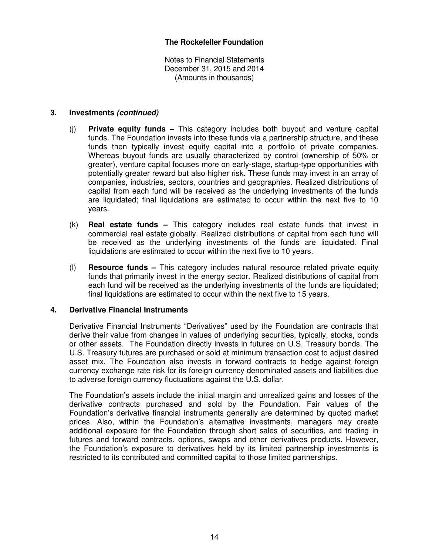Notes to Financial Statements December 31, 2015 and 2014 (Amounts in thousands)

## **3. Investments (continued)**

- (j) **Private equity funds –** This category includes both buyout and venture capital funds. The Foundation invests into these funds via a partnership structure, and these funds then typically invest equity capital into a portfolio of private companies. Whereas buyout funds are usually characterized by control (ownership of 50% or greater), venture capital focuses more on early-stage, startup-type opportunities with potentially greater reward but also higher risk. These funds may invest in an array of companies, industries, sectors, countries and geographies. Realized distributions of capital from each fund will be received as the underlying investments of the funds are liquidated; final liquidations are estimated to occur within the next five to 10 years.
- (k) **Real estate funds –** This category includes real estate funds that invest in commercial real estate globally. Realized distributions of capital from each fund will be received as the underlying investments of the funds are liquidated. Final liquidations are estimated to occur within the next five to 10 years.
- (l) **Resource funds –** This category includes natural resource related private equity funds that primarily invest in the energy sector. Realized distributions of capital from each fund will be received as the underlying investments of the funds are liquidated; final liquidations are estimated to occur within the next five to 15 years.

## **4. Derivative Financial Instruments**

Derivative Financial Instruments "Derivatives" used by the Foundation are contracts that derive their value from changes in values of underlying securities, typically, stocks, bonds or other assets. The Foundation directly invests in futures on U.S. Treasury bonds. The U.S. Treasury futures are purchased or sold at minimum transaction cost to adjust desired asset mix. The Foundation also invests in forward contracts to hedge against foreign currency exchange rate risk for its foreign currency denominated assets and liabilities due to adverse foreign currency fluctuations against the U.S. dollar.

The Foundation's assets include the initial margin and unrealized gains and losses of the derivative contracts purchased and sold by the Foundation. Fair values of the Foundation's derivative financial instruments generally are determined by quoted market prices. Also, within the Foundation's alternative investments, managers may create additional exposure for the Foundation through short sales of securities, and trading in futures and forward contracts, options, swaps and other derivatives products. However, the Foundation's exposure to derivatives held by its limited partnership investments is restricted to its contributed and committed capital to those limited partnerships.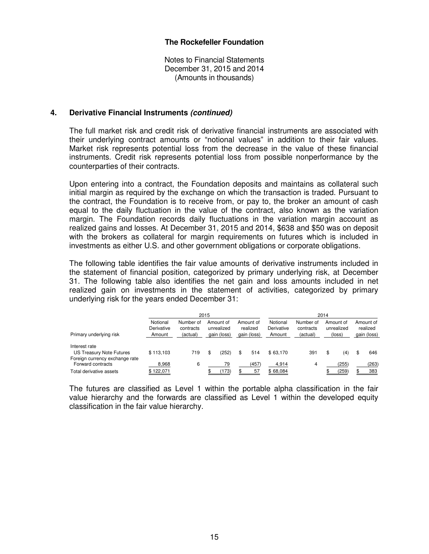Notes to Financial Statements December 31, 2015 and 2014 (Amounts in thousands)

#### **4. Derivative Financial Instruments (continued)**

 The full market risk and credit risk of derivative financial instruments are associated with their underlying contract amounts or "notional values" in addition to their fair values. Market risk represents potential loss from the decrease in the value of these financial instruments. Credit risk represents potential loss from possible nonperformance by the counterparties of their contracts.

 Upon entering into a contract, the Foundation deposits and maintains as collateral such initial margin as required by the exchange on which the transaction is traded. Pursuant to the contract, the Foundation is to receive from, or pay to, the broker an amount of cash equal to the daily fluctuation in the value of the contract, also known as the variation margin. The Foundation records daily fluctuations in the variation margin account as realized gains and losses. At December 31, 2015 and 2014, \$638 and \$50 was on deposit with the brokers as collateral for margin requirements on futures which is included in investments as either U.S. and other government obligations or corporate obligations.

 The following table identifies the fair value amounts of derivative instruments included in the statement of financial position, categorized by primary underlying risk, at December 31. The following table also identifies the net gain and loss amounts included in net realized gain on investments in the statement of activities, categorized by primary underlying risk for the years ended December 31:

|                                                                             | 2015                             |                                    |  |                                        | 2014 |                                      |                                  |                                    |    |                                   |   |                                      |
|-----------------------------------------------------------------------------|----------------------------------|------------------------------------|--|----------------------------------------|------|--------------------------------------|----------------------------------|------------------------------------|----|-----------------------------------|---|--------------------------------------|
| Primary underlying risk                                                     | Notional<br>Derivative<br>Amount | Number of<br>contracts<br>(actual) |  | Amount of<br>unrealized<br>gain (loss) |      | Amount of<br>realized<br>gain (loss) | Notional<br>Derivative<br>Amount | Number of<br>contracts<br>(actual) |    | Amount of<br>unrealized<br>(loss) |   | Amount of<br>realized<br>gain (loss) |
| Interest rate<br>US Treasury Note Futures<br>Foreign currency exchange rate | \$113.103                        | 719                                |  | 252)                                   | \$.  | 514                                  | \$63.170                         | 391                                | \$ | (4)                               | S | 646                                  |
| Forward contracts<br>Total derivative assets                                | 8,968<br>\$122,071               | 6                                  |  | 79<br>(173)                            |      | (457)<br>57                          | 4,914<br>\$68,084                | 4                                  |    | (255)<br>(259)                    |   | (263)<br>383                         |

The futures are classified as Level 1 within the portable alpha classification in the fair value hierarchy and the forwards are classified as Level 1 within the developed equity classification in the fair value hierarchy.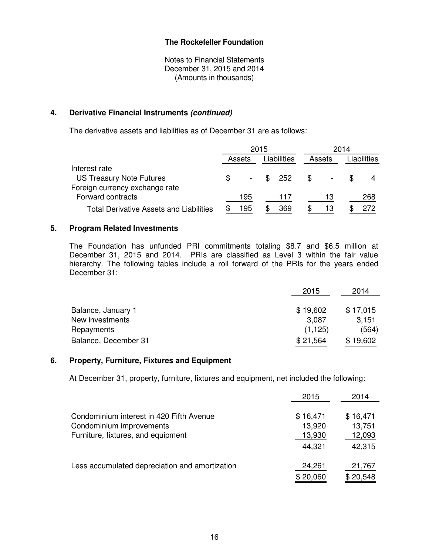Notes to Financial Statements December 31, 2015 and 2014 (Amounts in thousands)

## **4. Derivative Financial Instruments (continued)**

The derivative assets and liabilities as of December 31 are as follows:

|                                                | 2015   |  |                 | 2014 |        |  |             |
|------------------------------------------------|--------|--|-----------------|------|--------|--|-------------|
|                                                | Assets |  | Liabilities     |      | Assets |  | Liabilities |
| Interest rate                                  |        |  |                 |      |        |  |             |
| <b>US Treasury Note Futures</b>                |        |  | $\frac{1}{252}$ | - \$ |        |  |             |
| Foreign currency exchange rate                 |        |  |                 |      |        |  |             |
| Forward contracts                              | 195    |  | 11/             |      | 13     |  | 268         |
| <b>Total Derivative Assets and Liabilities</b> | 195    |  | 369             |      | 13     |  | 272         |

## **5. Program Related Investments**

The Foundation has unfunded PRI commitments totaling \$8.7 and \$6.5 million at December 31, 2015 and 2014. PRIs are classified as Level 3 within the fair value hierarchy. The following tables include a roll forward of the PRIs for the years ended December 31:

|                      | 2015     | 2014     |
|----------------------|----------|----------|
|                      |          |          |
| Balance, January 1   | \$19,602 | \$17,015 |
| New investments      | 3,087    | 3.151    |
| Repayments           | (1, 125) | (564)    |
| Balance, December 31 | \$21,564 | \$19,602 |

#### **6. Property, Furniture, Fixtures and Equipment**

At December 31, property, furniture, fixtures and equipment, net included the following:

|                                                | 2015     | 2014     |
|------------------------------------------------|----------|----------|
| Condominium interest in 420 Fifth Avenue       | \$16,471 | \$16,471 |
| Condominium improvements                       | 13,920   | 13,751   |
| Furniture, fixtures, and equipment             | 13,930   | 12,093   |
|                                                | 44,321   | 42,315   |
| Less accumulated depreciation and amortization | 24,261   | 21,767   |
|                                                | \$20,060 | \$20,548 |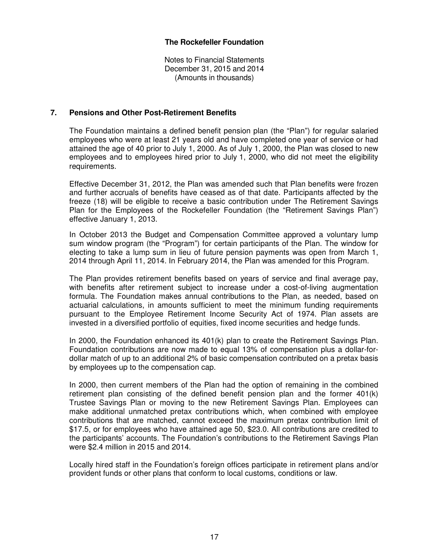Notes to Financial Statements December 31, 2015 and 2014 (Amounts in thousands)

#### **7. Pensions and Other Post-Retirement Benefits**

The Foundation maintains a defined benefit pension plan (the "Plan") for regular salaried employees who were at least 21 years old and have completed one year of service or had attained the age of 40 prior to July 1, 2000. As of July 1, 2000, the Plan was closed to new employees and to employees hired prior to July 1, 2000, who did not meet the eligibility requirements.

Effective December 31, 2012, the Plan was amended such that Plan benefits were frozen and further accruals of benefits have ceased as of that date. Participants affected by the freeze (18) will be eligible to receive a basic contribution under The Retirement Savings Plan for the Employees of the Rockefeller Foundation (the "Retirement Savings Plan") effective January 1, 2013.

In October 2013 the Budget and Compensation Committee approved a voluntary lump sum window program (the "Program") for certain participants of the Plan. The window for electing to take a lump sum in lieu of future pension payments was open from March 1, 2014 through April 11, 2014. In February 2014, the Plan was amended for this Program.

The Plan provides retirement benefits based on years of service and final average pay, with benefits after retirement subject to increase under a cost-of-living augmentation formula. The Foundation makes annual contributions to the Plan, as needed, based on actuarial calculations, in amounts sufficient to meet the minimum funding requirements pursuant to the Employee Retirement Income Security Act of 1974. Plan assets are invested in a diversified portfolio of equities, fixed income securities and hedge funds.

In 2000, the Foundation enhanced its 401(k) plan to create the Retirement Savings Plan. Foundation contributions are now made to equal 13% of compensation plus a dollar-fordollar match of up to an additional 2% of basic compensation contributed on a pretax basis by employees up to the compensation cap.

In 2000, then current members of the Plan had the option of remaining in the combined retirement plan consisting of the defined benefit pension plan and the former 401(k) Trustee Savings Plan or moving to the new Retirement Savings Plan. Employees can make additional unmatched pretax contributions which, when combined with employee contributions that are matched, cannot exceed the maximum pretax contribution limit of \$17.5, or for employees who have attained age 50, \$23.0. All contributions are credited to the participants' accounts. The Foundation's contributions to the Retirement Savings Plan were \$2.4 million in 2015 and 2014.

Locally hired staff in the Foundation's foreign offices participate in retirement plans and/or provident funds or other plans that conform to local customs, conditions or law.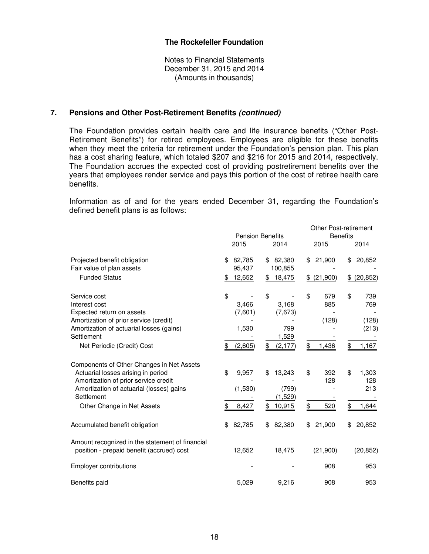Notes to Financial Statements December 31, 2015 and 2014 (Amounts in thousands)

#### **7. Pensions and Other Post-Retirement Benefits (continued)**

The Foundation provides certain health care and life insurance benefits ("Other Post-Retirement Benefits") for retired employees. Employees are eligible for these benefits when they meet the criteria for retirement under the Foundation's pension plan. This plan has a cost sharing feature, which totaled \$207 and \$216 for 2015 and 2014, respectively. The Foundation accrues the expected cost of providing postretirement benefits over the years that employees render service and pays this portion of the cost of retiree health care benefits.

Information as of and for the years ended December 31, regarding the Foundation's defined benefit plans is as follows:

|                                                                                                                                                                                                                 | <b>Pension Benefits</b>                          |                                                           | <b>Other Post-retirement</b><br><b>Benefits</b> |                                                   |  |
|-----------------------------------------------------------------------------------------------------------------------------------------------------------------------------------------------------------------|--------------------------------------------------|-----------------------------------------------------------|-------------------------------------------------|---------------------------------------------------|--|
|                                                                                                                                                                                                                 | 2015                                             | 2014                                                      | 2015                                            | 2014                                              |  |
| Projected benefit obligation<br>Fair value of plan assets<br><b>Funded Status</b>                                                                                                                               | 82,785<br>\$<br>95,437<br>12,652<br>\$           | 82,380<br>\$<br>100,855<br>18,475<br>\$                   | 21,900<br>\$<br>(21,900)<br>\$                  | 20,852<br>\$<br>\$<br>(20, 852)                   |  |
| Service cost<br>Interest cost<br>Expected return on assets<br>Amortization of prior service (credit)<br>Amortization of actuarial losses (gains)<br>Settlement<br>Net Periodic (Credit) Cost                    | \$<br>3,466<br>(7,601)<br>1,530<br>\$<br>(2,605) | \$<br>3,168<br>(7, 673)<br>799<br>1,529<br>\$<br>(2, 177) | \$<br>679<br>885<br>(128)<br>\$<br>1,436        | \$<br>739<br>769<br>(128)<br>(213)<br>\$<br>1,167 |  |
| Components of Other Changes in Net Assets<br>Actuarial losses arising in period<br>Amortization of prior service credit<br>Amortization of actuarial (losses) gains<br>Settlement<br>Other Change in Net Assets | \$<br>9,957<br>(1,530)<br>\$<br>8,427            | 13,243<br>\$<br>(799)<br>(1,529)<br>\$<br>10,915          | \$<br>392<br>128<br>\$<br>520                   | \$<br>1,303<br>128<br>213<br>\$<br>1,644          |  |
| Accumulated benefit obligation                                                                                                                                                                                  | 82,785<br>\$                                     | 82,380<br>\$                                              | 21,900<br>\$                                    | 20,852<br>\$.                                     |  |
| Amount recognized in the statement of financial<br>position - prepaid benefit (accrued) cost                                                                                                                    | 12,652                                           | 18,475                                                    | (21,900)                                        | (20, 852)                                         |  |
| <b>Employer contributions</b>                                                                                                                                                                                   |                                                  |                                                           | 908                                             | 953                                               |  |
| Benefits paid                                                                                                                                                                                                   | 5,029                                            | 9,216                                                     | 908                                             | 953                                               |  |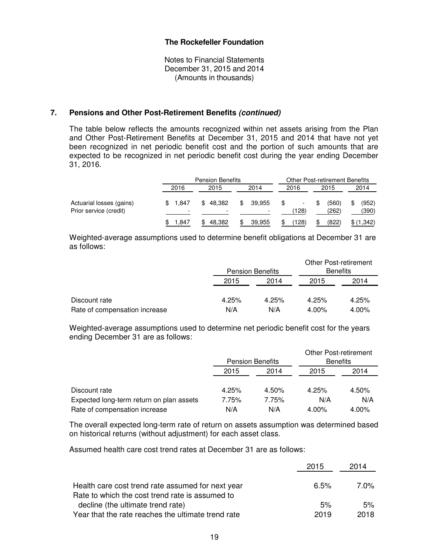Notes to Financial Statements December 31, 2015 and 2014 (Amounts in thousands)

#### **7. Pensions and Other Post-Retirement Benefits (continued)**

The table below reflects the amounts recognized within net assets arising from the Plan and Other Post-Retirement Benefits at December 31, 2015 and 2014 that have not yet been recognized in net periodic benefit cost and the portion of such amounts that are expected to be recognized in net periodic benefit cost during the year ending December 31, 2016.

|                                                    |                                     | <b>Pension Benefits</b>                  |                                          |             | <b>Other Post-retirement Benefits</b> |                |
|----------------------------------------------------|-------------------------------------|------------------------------------------|------------------------------------------|-------------|---------------------------------------|----------------|
|                                                    | 2016                                | 2015                                     | 2014                                     | 2016        | 2015                                  | 2014           |
| Actuarial losses (gains)<br>Prior service (credit) | - 1.847<br>$\overline{\phantom{0}}$ | 48.382<br>\$<br>$\overline{\phantom{a}}$ | \$<br>39.955<br>$\overline{\phantom{0}}$ | \$<br>(128) | (560)<br>\$.<br>(262)                 | (952)<br>(390) |
|                                                    | .847                                | 48.382                                   | 39.955                                   | (128)       | (822)                                 | \$(1,342)      |

Weighted-average assumptions used to determine benefit obligations at December 31 are as follows:

|                               |       | <b>Pension Benefits</b> |          | <b>Other Post-retirement</b><br><b>Benefits</b> |
|-------------------------------|-------|-------------------------|----------|-------------------------------------------------|
|                               | 2015  | 2014                    | 2015     | 2014                                            |
|                               |       |                         |          |                                                 |
| Discount rate                 | 4.25% | 4.25%                   | 4.25%    | 4.25%                                           |
| Rate of compensation increase | N/A   | N/A                     | $4.00\%$ | 4.00%                                           |

Weighted-average assumptions used to determine net periodic benefit cost for the years ending December 31 are as follows:

|                                          |       | <b>Pension Benefits</b> | <b>Other Post-retirement</b><br><b>Benefits</b> |       |
|------------------------------------------|-------|-------------------------|-------------------------------------------------|-------|
|                                          | 2015  | 2014                    | 2015                                            | 2014  |
| Discount rate                            | 4.25% | 4.50%                   | 4.25%                                           | 4.50% |
| Expected long-term return on plan assets | 7.75% | 7.75%                   | N/A                                             | N/A   |
| Rate of compensation increase            | N/A   | N/A                     | 4.00%                                           | 4.00% |

The overall expected long-term rate of return on assets assumption was determined based on historical returns (without adjustment) for each asset class.

Assumed health care cost trend rates at December 31 are as follows:

|                                                    | 2015 | 2014 |
|----------------------------------------------------|------|------|
| Health care cost trend rate assumed for next year  | 6.5% | 7.0% |
| Rate to which the cost trend rate is assumed to    |      |      |
| decline (the ultimate trend rate)                  | 5%   | 5%   |
| Year that the rate reaches the ultimate trend rate | 2019 | 2018 |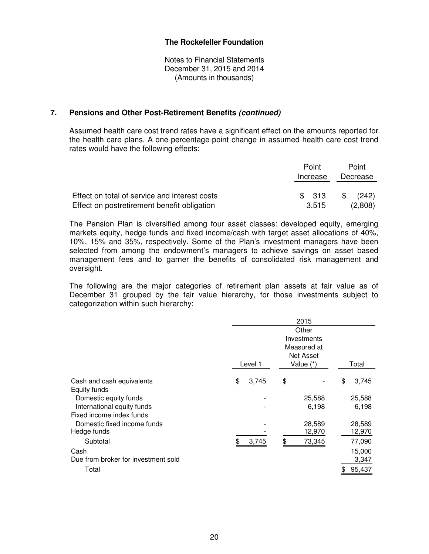Notes to Financial Statements December 31, 2015 and 2014 (Amounts in thousands)

#### **7. Pensions and Other Post-Retirement Benefits (continued)**

Assumed health care cost trend rates have a significant effect on the amounts reported for the health care plans. A one-percentage-point change in assumed health care cost trend rates would have the following effects:

|                                               | Point<br>Increase | Point<br>Decrease |
|-----------------------------------------------|-------------------|-------------------|
| Effect on total of service and interest costs | \$ 313            | $\sqrt{242}$      |
| Effect on postretirement benefit obligation   | 3.515             | (2,808)           |

The Pension Plan is diversified among four asset classes: developed equity, emerging markets equity, hedge funds and fixed income/cash with target asset allocations of 40%, 10%, 15% and 35%, respectively. Some of the Plan's investment managers have been selected from among the endowment's managers to achieve savings on asset based management fees and to garner the benefits of consolidated risk management and oversight.

The following are the major categories of retirement plan assets at fair value as of December 31 grouped by the fair value hierarchy, for those investments subject to categorization within such hierarchy:

|                                           |             | 2015                                                          |              |
|-------------------------------------------|-------------|---------------------------------------------------------------|--------------|
|                                           | Level 1     | Other<br>Investments<br>Measured at<br>Net Asset<br>Value (*) | Total        |
|                                           |             |                                                               |              |
| Cash and cash equivalents<br>Equity funds | \$<br>3,745 | \$                                                            | \$<br>3,745  |
| Domestic equity funds                     |             | 25,588                                                        | 25,588       |
| International equity funds                |             | 6,198                                                         | 6,198        |
| Fixed income index funds                  |             |                                                               |              |
| Domestic fixed income funds               |             | 28,589                                                        | 28,589       |
| Hedge funds                               |             | 12,970                                                        | 12,970       |
| Subtotal                                  | \$<br>3,745 | \$<br>73,345                                                  | 77,090       |
| Cash                                      |             |                                                               | 15,000       |
| Due from broker for investment sold       |             |                                                               | 3,347        |
| Total                                     |             |                                                               | \$<br>95,437 |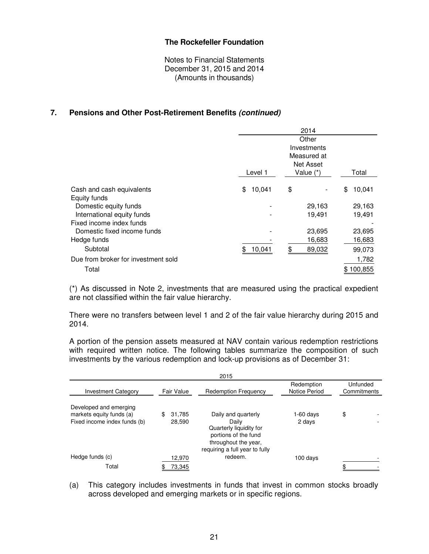Notes to Financial Statements December 31, 2015 and 2014 (Amounts in thousands)

## **7. Pensions and Other Post-Retirement Benefits (continued)**

|                                     |              | 2014                       |              |
|-------------------------------------|--------------|----------------------------|--------------|
|                                     |              | Other                      |              |
|                                     |              | Investments<br>Measured at |              |
|                                     |              | <b>Net Asset</b>           |              |
|                                     | Level 1      | Value $(*)$                | Total        |
| Cash and cash equivalents           | \$<br>10,041 | \$                         | \$<br>10,041 |
| Equity funds                        |              |                            |              |
| Domestic equity funds               |              | 29,163                     | 29,163       |
| International equity funds          |              | 19,491                     | 19,491       |
| Fixed income index funds            |              |                            |              |
| Domestic fixed income funds         |              | 23,695                     | 23,695       |
| Hedge funds                         |              | 16,683                     | 16,683       |
| Subtotal                            | \$<br>10,041 | \$<br>89,032               | 99,073       |
| Due from broker for investment sold |              |                            | 1,782        |
| Total                               |              |                            | \$100,855    |

(\*) As discussed in Note 2, investments that are measured using the practical expedient are not classified within the fair value hierarchy.

There were no transfers between level 1 and 2 of the fair value hierarchy during 2015 and 2014.

A portion of the pension assets measured at NAV contain various redemption restrictions with required written notice. The following tables summarize the composition of such investments by the various redemption and lock-up provisions as of December 31:

|                                                                                    |                        | 2015                                                                                                                                      |                             |                         |  |
|------------------------------------------------------------------------------------|------------------------|-------------------------------------------------------------------------------------------------------------------------------------------|-----------------------------|-------------------------|--|
| <b>Investment Category</b>                                                         | Fair Value             | <b>Redemption Frequency</b>                                                                                                               | Redemption<br>Notice Period | Unfunded<br>Commitments |  |
| Developed and emerging<br>markets equity funds (a)<br>Fixed income index funds (b) | \$<br>31.785<br>28,590 | Daily and quarterly<br>Daily<br>Quarterly liquidity for<br>portions of the fund<br>throughout the year,<br>requiring a full year to fully | 1-60 days<br>2 days         | \$                      |  |
| Hedge funds (c)                                                                    | 12,970                 | redeem.                                                                                                                                   | 100 days                    |                         |  |
| Total                                                                              | 73.345                 |                                                                                                                                           |                             | œ                       |  |

(a) This category includes investments in funds that invest in common stocks broadly across developed and emerging markets or in specific regions.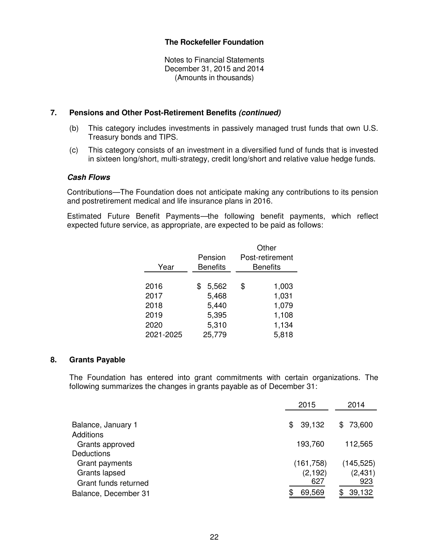Notes to Financial Statements December 31, 2015 and 2014 (Amounts in thousands)

#### **7. Pensions and Other Post-Retirement Benefits (continued)**

- (b) This category includes investments in passively managed trust funds that own U.S. Treasury bonds and TIPS.
- (c) This category consists of an investment in a diversified fund of funds that is invested in sixteen long/short, multi-strategy, credit long/short and relative value hedge funds.

#### **Cash Flows**

Contributions—The Foundation does not anticipate making any contributions to its pension and postretirement medical and life insurance plans in 2016.

Estimated Future Benefit Payments—the following benefit payments, which reflect expected future service, as appropriate, are expected to be paid as follows:

| Year      | Pension<br><b>Benefits</b> | Other<br>Post-retirement<br><b>Benefits</b> |
|-----------|----------------------------|---------------------------------------------|
|           |                            |                                             |
| 2016      | 5,562<br>\$                | \$<br>1,003                                 |
| 2017      | 5,468                      | 1,031                                       |
| 2018      | 5,440                      | 1,079                                       |
| 2019      | 5,395                      | 1,108                                       |
| 2020      | 5,310                      | 1,134                                       |
| 2021-2025 | 25,779                     | 5,818                                       |

#### **8. Grants Payable**

The Foundation has entered into grant commitments with certain organizations. The following summarizes the changes in grants payable as of December 31:

|                      | 2015       | 2014       |
|----------------------|------------|------------|
| Balance, January 1   | \$39,132   | \$73,600   |
| <b>Additions</b>     |            |            |
| Grants approved      | 193,760    | 112,565    |
| <b>Deductions</b>    |            |            |
| Grant payments       | (161, 758) | (145, 525) |
| Grants lapsed        | (2, 192)   | (2, 431)   |
| Grant funds returned | 627        | 923        |
| Balance, December 31 | 69,569     | 39,132     |
|                      |            |            |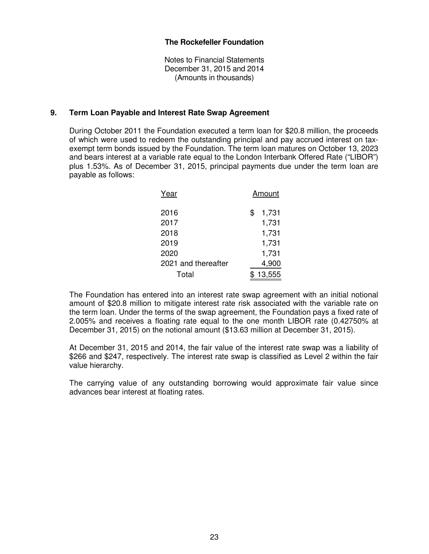Notes to Financial Statements December 31, 2015 and 2014 (Amounts in thousands)

#### **9. Term Loan Payable and Interest Rate Swap Agreement**

During October 2011 the Foundation executed a term loan for \$20.8 million, the proceeds of which were used to redeem the outstanding principal and pay accrued interest on taxexempt term bonds issued by the Foundation. The term loan matures on October 13, 2023 and bears interest at a variable rate equal to the London Interbank Offered Rate ("LIBOR") plus 1.53%. As of December 31, 2015, principal payments due under the term loan are payable as follows:

| Year                | Amount      |
|---------------------|-------------|
| 2016                | \$<br>1,731 |
| 2017                | 1,731       |
| 2018                | 1,731       |
| 2019                | 1,731       |
| 2020                | 1,731       |
| 2021 and thereafter | 4,900       |
| Total               | 13,555      |

The Foundation has entered into an interest rate swap agreement with an initial notional amount of \$20.8 million to mitigate interest rate risk associated with the variable rate on the term loan. Under the terms of the swap agreement, the Foundation pays a fixed rate of 2.005% and receives a floating rate equal to the one month LIBOR rate (0.42750% at December 31, 2015) on the notional amount (\$13.63 million at December 31, 2015).

At December 31, 2015 and 2014, the fair value of the interest rate swap was a liability of \$266 and \$247, respectively. The interest rate swap is classified as Level 2 within the fair value hierarchy.

The carrying value of any outstanding borrowing would approximate fair value since advances bear interest at floating rates.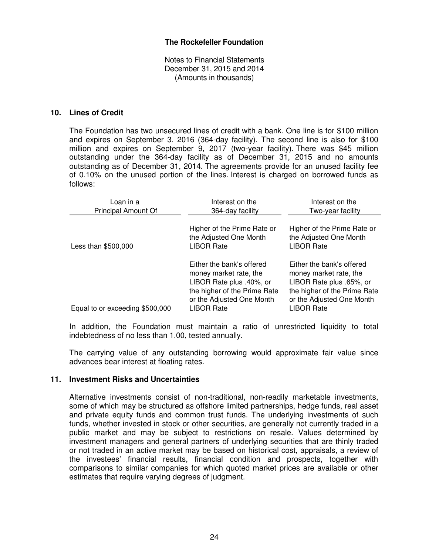Notes to Financial Statements December 31, 2015 and 2014 (Amounts in thousands)

#### **10. Lines of Credit**

The Foundation has two unsecured lines of credit with a bank. One line is for \$100 million and expires on September 3, 2016 (364-day facility). The second line is also for \$100 million and expires on September 9, 2017 (two-year facility). There was \$45 million outstanding under the 364-day facility as of December 31, 2015 and no amounts outstanding as of December 31, 2014. The agreements provide for an unused facility fee of 0.10% on the unused portion of the lines. Interest is charged on borrowed funds as follows:

| Loan in a<br>Principal Amount Of | Interest on the<br>364-day facility                                                                                                                               | Interest on the<br>Two-year facility                                                                                                                              |
|----------------------------------|-------------------------------------------------------------------------------------------------------------------------------------------------------------------|-------------------------------------------------------------------------------------------------------------------------------------------------------------------|
| Less than \$500,000              | Higher of the Prime Rate or<br>the Adjusted One Month<br><b>LIBOR Rate</b>                                                                                        | Higher of the Prime Rate or<br>the Adjusted One Month<br><b>LIBOR Rate</b>                                                                                        |
| Equal to or exceeding \$500,000  | Either the bank's offered<br>money market rate, the<br>LIBOR Rate plus .40%, or<br>the higher of the Prime Rate<br>or the Adjusted One Month<br><b>LIBOR Rate</b> | Either the bank's offered<br>money market rate, the<br>LIBOR Rate plus .65%, or<br>the higher of the Prime Rate<br>or the Adjusted One Month<br><b>LIBOR Rate</b> |

In addition, the Foundation must maintain a ratio of unrestricted liquidity to total indebtedness of no less than 1.00, tested annually.

The carrying value of any outstanding borrowing would approximate fair value since advances bear interest at floating rates.

#### **11. Investment Risks and Uncertainties**

Alternative investments consist of non-traditional, non-readily marketable investments, some of which may be structured as offshore limited partnerships, hedge funds, real asset and private equity funds and common trust funds. The underlying investments of such funds, whether invested in stock or other securities, are generally not currently traded in a public market and may be subject to restrictions on resale. Values determined by investment managers and general partners of underlying securities that are thinly traded or not traded in an active market may be based on historical cost, appraisals, a review of the investees' financial results, financial condition and prospects, together with comparisons to similar companies for which quoted market prices are available or other estimates that require varying degrees of judgment.